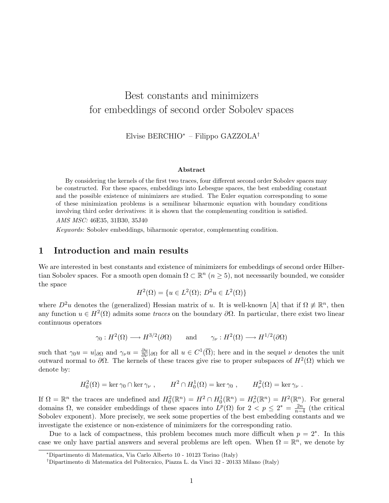# Best constants and minimizers for embeddings of second order Sobolev spaces

Elvise BERCHIO<sup>∗</sup> – Filippo GAZZOLA†

#### Abstract

By considering the kernels of the first two traces, four different second order Sobolev spaces may be constructed. For these spaces, embeddings into Lebesgue spaces, the best embedding constant and the possible existence of minimizers are studied. The Euler equation corresponding to some of these minimization problems is a semilinear biharmonic equation with boundary conditions involving third order derivatives: it is shown that the complementing condition is satisfied.

AMS MSC: 46E35, 31B30, 35J40

Keywords: Sobolev embeddings, biharmonic operator, complementing condition.

#### 1 Introduction and main results

We are interested in best constants and existence of minimizers for embeddings of second order Hilbertian Sobolev spaces. For a smooth open domain  $\Omega \subset \mathbb{R}^n$   $(n \geq 5)$ , not necessarily bounded, we consider the space

$$
H^{2}(\Omega) = \{ u \in L^{2}(\Omega); D^{2}u \in L^{2}(\Omega) \}
$$

where  $D^2u$  denotes the (generalized) Hessian matrix of u. It is well-known [A] that if  $\Omega \not\equiv \mathbb{R}^n$ , then any function  $u \in H^2(\Omega)$  admits some *traces* on the boundary  $\partial \Omega$ . In particular, there exist two linear continuous operators

$$
\gamma_0: H^2(\Omega) \longrightarrow H^{3/2}(\partial \Omega)
$$
 and  $\gamma_{\nu}: H^2(\Omega) \longrightarrow H^{1/2}(\partial \Omega)$ 

such that  $\gamma_0 u = u|_{\partial\Omega}$  and  $\gamma_\nu u = \frac{\partial u}{\partial \nu}|_{\partial\Omega}$  for all  $u \in C^1(\overline{\Omega})$ ; here and in the sequel  $\nu$  denotes the unit outward normal to  $\partial\Omega$ . The kernels of these traces give rise to proper subspaces of  $H^2(\Omega)$  which we denote by:

$$
H_0^2(\Omega) = \ker \gamma_0 \cap \ker \gamma_\nu , \qquad H^2 \cap H_0^1(\Omega) = \ker \gamma_0 , \qquad H_\nu^2(\Omega) = \ker \gamma_\nu .
$$

If  $\Omega = \mathbb{R}^n$  the traces are undefined and  $H_0^2(\mathbb{R}^n) = H^2 \cap H_0^1(\mathbb{R}^n) = H_\nu^2(\mathbb{R}^n) = H^2(\mathbb{R}^n)$ . For general domains  $\Omega$ , we consider embeddings of these spaces into  $L^p(\Omega)$  for  $2 < p \leq 2^* = \frac{2n}{n}$  $\frac{2n}{n-4}$  (the critical Sobolev exponent). More precisely, we seek some properties of the best embedding constants and we investigate the existence or non-existence of minimizers for the corresponding ratio.

Due to a lack of compactness, this problem becomes much more difficult when  $p = 2^*$ . In this case we only have partial answers and several problems are left open. When  $\Omega = \mathbb{R}^n$ , we denote by

<sup>∗</sup>Dipartimento di Matematica, Via Carlo Alberto 10 - 10123 Torino (Italy)

<sup>†</sup>Dipartimento di Matematica del Politecnico, Piazza L. da Vinci 32 - 20133 Milano (Italy)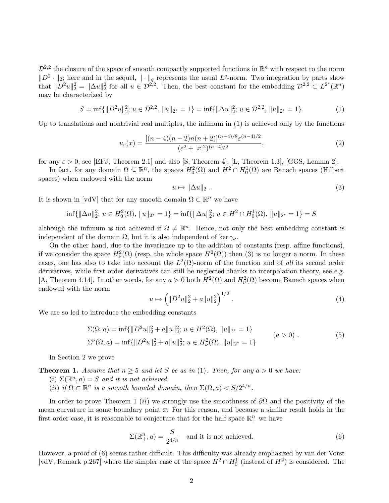$\mathcal{D}^{2,2}$  the closure of the space of smooth compactly supported functions in  $\mathbb{R}^n$  with respect to the norm  $||D^2 \cdot ||_2$ ; here and in the sequel,  $|| \cdot ||_q$  represents the usual  $L^q$ -norm. Two integration by parts show that  $||D^2u||_2^2 = ||\Delta u||_2^2$  for all  $u \in \mathcal{D}^{2,2}$ . Then, the best constant for the embedding  $\mathcal{D}^{2,2} \subset L^{2^*}(\mathbb{R}^n)$ may be characterized by

$$
S = \inf\{\|D^2u\|_2^2; u \in \mathcal{D}^{2,2}, \|u\|_{2^*} = 1\} = \inf\{\|\Delta u\|_2^2; u \in \mathcal{D}^{2,2}, \|u\|_{2^*} = 1\}.
$$
 (1)

Up to translations and nontrivial real multiples, the infimum in (1) is achieved only by the functions

$$
u_{\varepsilon}(x) = \frac{[(n-4)(n-2)n(n+2)]^{(n-4)/8} \varepsilon^{(n-4)/2}}{(\varepsilon^2 + |x|^2)^{(n-4)/2}},
$$
\n(2)

for any  $\varepsilon > 0$ , see [EFJ, Theorem 2.1] and also [S, Theorem 4], [L, Theorem 1.3], [GGS, Lemma 2].

In fact, for any domain  $\Omega \subseteq \mathbb{R}^n$ , the spaces  $H_0^2(\Omega)$  and  $H^2 \cap H_0^1(\Omega)$  are Banach spaces (Hilbert spaces) when endowed with the norm

$$
u \mapsto \|\Delta u\|_2 \tag{3}
$$

It is shown in [vdV] that for any smooth domain  $\Omega \subset \mathbb{R}^n$  we have

$$
\inf\{\|\Delta u\|_2^2; u \in H_0^2(\Omega), \|u\|_{2^*} = 1\} = \inf\{\|\Delta u\|_2^2; u \in H^2 \cap H_0^1(\Omega), \|u\|_{2^*} = 1\} = S
$$

although the infimum is not achieved if  $\Omega \neq \mathbb{R}^n$ . Hence, not only the best embedding constant is independent of the domain  $\Omega$ , but it is also independent of ker  $\gamma_{\nu}$ .

On the other hand, due to the invariance up to the addition of constants (resp. affine functions), if we consider the space  $H^2_{\nu}(\Omega)$  (resp. the whole space  $H^2(\Omega)$ ) then (3) is no longer a norm. In these cases, one has also to take into account the  $L^2(\Omega)$ -norm of the function and of all its second order derivatives, while first order derivatives can still be neglected thanks to interpolation theory, see e.g. [A, Theorem 4.14]. In other words, for any  $a > 0$  both  $H^2(\Omega)$  and  $H^2_{\nu}(\Omega)$  become Banach spaces when endowed with the norm  $\overline{a}$ 

$$
u \mapsto \left( \|D^2 u\|_2^2 + a \|u\|_2^2 \right)^{1/2} . \tag{4}
$$

We are so led to introduce the embedding constants

$$
\Sigma(\Omega, a) = \inf \{ ||D^2u||_2^2 + a||u||_2^2; u \in H^2(\Omega), ||u||_{2^*} = 1 \}
$$
  

$$
\Sigma^{\nu}(\Omega, a) = \inf \{ ||D^2u||_2^2 + a||u||_2^2; u \in H^2_{\nu}(\Omega), ||u||_{2^*} = 1 \}
$$
 (a > 0). (5)

In Section 2 we prove

**Theorem 1.** Assume that  $n \geq 5$  and let S be as in (1). Then, for any  $a > 0$  we have:

- (i)  $\Sigma(\mathbb{R}^n, a) = S$  and it is not achieved.
- (ii) if  $\Omega \subset \mathbb{R}^n$  is a smooth bounded domain, then  $\Sigma(\Omega, a) < S/2^{4/n}$ .

In order to prove Theorem 1 (ii) we strongly use the smoothness of  $\partial\Omega$  and the positivity of the mean curvature in some boundary point  $\bar{x}$ . For this reason, and because a similar result holds in the first order case, it is reasonable to conjecture that for the half space  $\mathbb{R}^n_+$  we have

$$
\Sigma(\mathbb{R}^n_+, a) = \frac{S}{2^{4/n}} \quad \text{and it is not achieved.} \tag{6}
$$

However, a proof of (6) seems rather difficult. This difficulty was already emphasized by van der Vorst [vdV, Remark p.267] where the simpler case of the space  $H^2 \cap H_0^1$  (instead of  $H^2$ ) is considered. The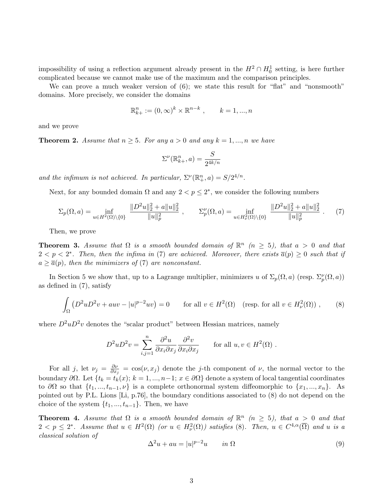impossibility of using a reflection argument already present in the  $H^2 \cap H_0^1$  setting, is here further complicated because we cannot make use of the maximum and the comparison principles.

We can prove a much weaker version of  $(6)$ ; we state this result for "flat" and "nonsmooth" domains. More precisely, we consider the domains

$$
\mathbb{R}_{k+}^n := (0, \infty)^k \times \mathbb{R}^{n-k}, \qquad k = 1, ..., n
$$

and we prove

**Theorem 2.** Assume that  $n \geq 5$ . For any  $a > 0$  and any  $k = 1, ..., n$  we have

$$
\Sigma^{\nu}(\mathbb{R}^n_{k+}, a) = \frac{S}{2^{4k/n}}
$$

and the infimum is not achieved. In particular,  $\Sigma^{\nu}(\mathbb{R}^n_+,a) = S/2^{4/n}$ .

Next, for any bounded domain  $\Omega$  and any  $2 < p \leq 2^*$ , we consider the following numbers

$$
\Sigma_p(\Omega, a) = \inf_{u \in H^2(\Omega) \setminus \{0\}} \frac{\|D^2 u\|_2^2 + a\|u\|_2^2}{\|u\|_p^2}, \qquad \Sigma_p^{\nu}(\Omega, a) = \inf_{u \in H^2_{\nu}(\Omega) \setminus \{0\}} \frac{\|D^2 u\|_2^2 + a\|u\|_2^2}{\|u\|_p^2}.
$$
 (7)

Then, we prove

**Theorem 3.** Assume that  $\Omega$  is a smooth bounded domain of  $\mathbb{R}^n$  ( $n \geq 5$ ), that  $a > 0$  and that  $2 < p < 2^*$ . Then, then the infima in (7) are achieved. Moreover, there exists  $\overline{a}(p) \geq 0$  such that if  $a \geq \overline{a}(p)$ , then the minimizers of (7) are nonconstant.

In Section 5 we show that, up to a Lagrange multiplier, minimizers u of  $\Sigma_p(\Omega, a)$  (resp.  $\Sigma_p^{\nu}(\Omega, a)$ ) as defined in (7), satisfy

$$
\int_{\Omega} \left( D^2 u D^2 v + a u v - |u|^{p-2} u v \right) = 0 \quad \text{for all } v \in H^2(\Omega) \quad \text{(resp. for all } v \in H^2(\Omega) \text{),}
$$
 (8)

where  $D^2uD^2v$  denotes the "scalar product" between Hessian matrices, namely

$$
D^2 u D^2 v = \sum_{i,j=1}^n \frac{\partial^2 u}{\partial x_i \partial x_j} \frac{\partial^2 v}{\partial x_i \partial x_j} \quad \text{for all } u, v \in H^2(\Omega) .
$$

For all j, let  $\nu_j = \frac{\partial \nu_j}{\partial x_i}$  $\frac{\partial \nu}{\partial x_j} = \cos(\nu, x_j)$  denote the j-th component of  $\nu$ , the normal vector to the boundary  $\partial\Omega$ . Let  $\{t_k = t_k(x); k = 1, ..., n-1; x \in \partial\Omega\}$  denote a system of local tangential coordinates to  $\partial\Omega$  so that  $\{t_1, ..., t_{n-1}, \nu\}$  is a complete orthonormal system diffeomorphic to  $\{x_1, ..., x_n\}$ . As pointed out by P.L. Lions [Li, p.76], the boundary conditions associated to (8) do not depend on the choice of the system  $\{t_1, ..., t_{n-1}\}$ . Then, we have

**Theorem 4.** Assume that  $\Omega$  is a smooth bounded domain of  $\mathbb{R}^n$  ( $n \geq 5$ ), that  $a > 0$  and that  $2 < p \leq 2^*$ . Assume that  $u \in H^2(\Omega)$  (or  $u \in H^2_{\nu}(\Omega)$ ) satisfies (8). Then,  $u \in C^{4,\alpha}(\overline{\Omega})$  and u is a classical solution of

$$
\Delta^2 u + au = |u|^{p-2}u \qquad in \ \Omega \tag{9}
$$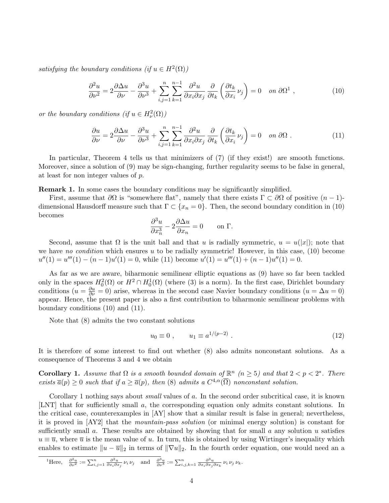satisfying the boundary conditions (if  $u \in H^2(\Omega)$ )

$$
\frac{\partial^2 u}{\partial \nu^2} = 2 \frac{\partial \Delta u}{\partial \nu} - \frac{\partial^3 u}{\partial \nu^3} + \sum_{i,j=1}^n \sum_{k=1}^{n-1} \frac{\partial^2 u}{\partial x_i \partial x_j} \frac{\partial}{\partial t_k} \left( \frac{\partial t_k}{\partial x_i} \nu_j \right) = 0 \quad on \ \partial \Omega^1 \ , \tag{10}
$$

or the boundary conditions  $(if u \in H^2_{\nu}(\Omega))$ 

$$
\frac{\partial u}{\partial \nu} = 2 \frac{\partial \Delta u}{\partial \nu} - \frac{\partial^3 u}{\partial \nu^3} + \sum_{i,j=1}^n \sum_{k=1}^{n-1} \frac{\partial^2 u}{\partial x_i \partial x_j} \frac{\partial}{\partial t_k} \left( \frac{\partial t_k}{\partial x_i} \nu_j \right) = 0 \quad \text{on } \partial \Omega . \tag{11}
$$

In particular, Theorem 4 tells us that minimizers of (7) (if they exist!) are smooth functions. Moreover, since a solution of (9) may be sign-changing, further regularity seems to be false in general, at least for non integer values of p.

Remark 1. In some cases the boundary conditions may be significantly simplified.

First, assume that  $\partial\Omega$  is "somewhere flat", namely that there exists  $\Gamma \subset \partial\Omega$  of positive  $(n-1)$ dimensional Hausdorff measure such that  $\Gamma \subset \{x_n = 0\}$ . Then, the second boundary condition in (10) becomes

$$
\frac{\partial^3 u}{\partial x_n^3} - 2 \frac{\partial \Delta u}{\partial x_n} = 0 \quad \text{on } \Gamma.
$$

Second, assume that  $\Omega$  is the unit ball and that u is radially symmetric,  $u = u(|x|)$ ; note that we have no condition which ensures  $u$  to be radially symmetric! However, in this case,  $(10)$  become  $u''(1) = u'''(1) - (n-1)u'(1) = 0$ , while (11) become  $u'(1) = u'''(1) + (n-1)u''(1) = 0$ .

As far as we are aware, biharmonic semilinear elliptic equations as (9) have so far been tackled only in the spaces  $H_0^2(\Omega)$  or  $H^2 \cap H_0^1(\Omega)$  (where (3) is a norm). In the first case, Dirichlet boundary conditions  $(u = \frac{\partial u}{\partial \nu} = 0)$  arise, whereas in the second case Navier boundary conditions  $(u = \Delta u = 0)$ appear. Hence, the present paper is also a first contribution to biharmonic semilinear problems with boundary conditions (10) and (11).

Note that (8) admits the two constant solutions

$$
u_0 \equiv 0 \;, \qquad u_1 \equiv a^{1/(p-2)} \; . \tag{12}
$$

It is therefore of some interest to find out whether (8) also admits nonconstant solutions. As a consequence of Theorems 3 and 4 we obtain

**Corollary 1.** Assume that  $\Omega$  is a smooth bounded domain of  $\mathbb{R}^n$  ( $n \geq 5$ ) and that  $2 < p < 2^*$ . There exists  $\overline{a}(p) \geq 0$  such that if  $a \geq \overline{a}(p)$ , then (8) admits a  $C^{4,\alpha}(\overline{\Omega})$  nonconstant solution.

Corollary 1 nothing says about *small* values of a. In the second order subcritical case, it is known [LNT] that for sufficiently small a, the corresponding equation only admits constant solutions. In the critical case, counterexamples in [AY] show that a similar result is false in general; nevertheless, it is proved in [AY2] that the mountain-pass solution (or minimal energy solution) is constant for sufficiently small a. These results are obtained by showing that for small a any solution u satisfies  $u \equiv \overline{u}$ , where  $\overline{u}$  is the mean value of u. In turn, this is obtained by using Wirtinger's inequality which enables to estimate  $||u - \overline{u}||_2$  in terms of  $||\nabla u||_2$ . In the fourth order equation, one would need an a

$$
\mathcal{L}_{\text{Here,}} \quad \frac{\partial^2 u}{\partial \nu^2} := \sum_{i,j=1}^n \frac{\partial^2 u}{\partial x_i \partial x_j} \nu_i \nu_j \quad \text{and} \quad \frac{\partial^3 u}{\partial \nu^3} := \sum_{i,j,k=1}^n \frac{\partial^3 u}{\partial x_i \partial x_j \partial x_k} \nu_i \nu_j \nu_k.
$$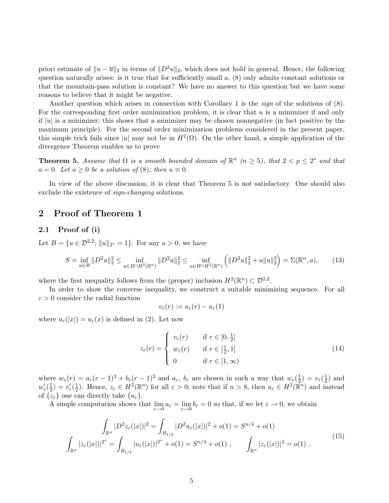priori estimate of  $||u - \overline{u}||_2$  in terms of  $||D^2u||_2$ , which does not hold in general. Hence, the following question naturally arises: is it true that for sufficiently small  $a$ ,  $(8)$  only admits constant solutions or that the mountain-pass solution is constant? We have no answer to this question but we have some reasons to believe that it might be negative.

Another question which arises in connection with Corollary 1 is the *sign* of the solutions of  $(8)$ . For the corresponding first order minimization problem, it is clear that  $u$  is a minimizer if and only if  $|u|$  is a minimizer; this shows that a minimizer may be chosen nonnegative (in fact positive by the maximum principle). For the second order minimization problems considered in the present paper, this simple trick fails since |u| may not be in  $H^2(\Omega)$ . On the other hand, a simple application of the divergence Theorem enables us to prove

**Theorem 5.** Assume that  $\Omega$  is a smooth bounded domain of  $\mathbb{R}^n$  ( $n \geq 5$ ), that  $2 < p \leq 2^*$  and that  $a = 0$ . Let  $u \geq 0$  be a solution of (8); then  $u \equiv 0$ .

In view of the above discussion, it is clear that Theorem 5 is not satisfactory. One should also exclude the existence of sign-changing solutions.

#### 2 Proof of Theorem 1

#### 2.1 Proof of (i)

Let  $B = \{u \in \mathcal{D}^{2,2}; ||u||_{2^*} = 1\}$ . For any  $a > 0$ , we have

$$
S = \inf_{u \in B} \|D^2 u\|_2^2 \le \inf_{u \in B \cap H^2(\mathbb{R}^n)} \|D^2 u\|_2^2 \le \inf_{u \in B \cap H^2(\mathbb{R}^n)} \left( \|D^2 u\|_2^2 + a \|u\|_2^2 \right) = \Sigma(\mathbb{R}^n, a),\tag{13}
$$

where the first inequality follows from the (proper) inclusion  $H^2(\mathbb{R}^n) \subset \mathcal{D}^{2,2}$ .

In order to show the converse inequality, we construct a suitable minimizing sequence. For all  $\varepsilon > 0$  consider the radial function

$$
v_{\varepsilon}(r) := u_{\varepsilon}(r) - u_{\varepsilon}(1)
$$

where  $u_{\varepsilon}(x) = u_{\varepsilon}(x)$  is defined in (2). Let now

$$
z_{\varepsilon}(r) = \begin{cases} v_{\varepsilon}(r) & \text{if } r \in [0, \frac{1}{2}] \\ w_{\varepsilon}(r) & \text{if } r \in [\frac{1}{2}, 1] \\ 0 & \text{if } r \in [1, \infty) \end{cases}
$$
(14)

where  $w_{\varepsilon}(r) = a_{\varepsilon}(r-1)^3 + b_{\varepsilon}(r-1)^2$  and  $a_{\varepsilon}, b_{\varepsilon}$  are chosen in such a way that  $w_{\varepsilon}(\frac{1}{2})$  $(\frac{1}{2}) = v_{\varepsilon}(\frac{1}{2})$  $(\frac{1}{2})$  and  $w_\varepsilon^\prime(\frac{1}{2}$  $\frac{1}{2}) = v'_\varepsilon(\frac{1}{2})$  $\frac{1}{2}$ ). Hence,  $z_{\varepsilon} \in H^2(\mathbb{R}^n)$  for all  $\varepsilon > 0$ ; note that if  $n > 8$ , then  $u_{\varepsilon} \in H^2(\mathbb{R}^n)$  and instead of  $\{z_{\varepsilon}\}\$  one can directly take  $\{u_{\varepsilon}\}\$ .

A simple computation shows that  $\lim_{\varepsilon \to 0} a_{\varepsilon} = \lim_{\varepsilon \to 0} b_{\varepsilon} = 0$  so that, if we let  $\varepsilon \to 0$ , we obtain

$$
\int_{\mathbb{R}^n} |D^2 z_{\varepsilon}(|x|)|^2 = \int_{B_{1/2}} |D^2 u_{\varepsilon}(|x|)|^2 + o(1) = S^{n/4} + o(1)
$$
\n
$$
\int_{\mathbb{R}^n} |z_{\varepsilon}(|x|)|^{2^*} = \int_{B_{1/2}} |u_{\varepsilon}(|x|)|^{2^*} + o(1) = S^{n/4} + o(1) , \qquad \int_{\mathbb{R}^n} |z_{\varepsilon}(|x|)|^2 = o(1) .
$$
\n(15)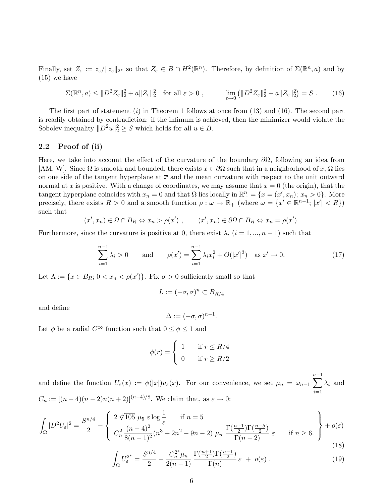Finally, set  $Z_{\varepsilon} := z_{\varepsilon} / ||z_{\varepsilon}||_{2^*}$  so that  $Z_{\varepsilon} \in B \cap H^2(\mathbb{R}^n)$ . Therefore, by definition of  $\Sigma(\mathbb{R}^n, a)$  and by (15) we have

$$
\Sigma(\mathbb{R}^n, a) \leq \|D^2 Z_{\varepsilon}\|_2^2 + a \|Z_{\varepsilon}\|_2^2 \quad \text{for all } \varepsilon > 0 , \qquad \lim_{\varepsilon \to 0} \left(\|D^2 Z_{\varepsilon}\|_2^2 + a \|Z_{\varepsilon}\|_2^2\right) = S . \tag{16}
$$

The first part of statement  $(i)$  in Theorem 1 follows at once from  $(13)$  and  $(16)$ . The second part is readily obtained by contradiction: if the infimum is achieved, then the minimizer would violate the Sobolev inequality  $||D^2u||_2^2 \geq S$  which holds for all  $u \in B$ .

#### 2.2 Proof of (ii)

Here, we take into account the effect of the curvature of the boundary  $\partial\Omega$ , following an idea from [AM, W]. Since  $\Omega$  is smooth and bounded, there exists  $\bar{x} \in \partial \Omega$  such that in a neighborhood of  $\bar{x}$ ,  $\Omega$  lies on one side of the tangent hyperplane at  $\bar{x}$  and the mean curvature with respect to the unit outward normal at  $\bar{x}$  is positive. With a change of coordinates, we may assume that  $\bar{x} = 0$  (the origin), that the tangent hyperplane coincides with  $x_n = 0$  and that  $\Omega$  lies locally in  $\mathbb{R}^n_+ = \{x = (x', x_n); x_n > 0\}$ . More precisely, there exists  $R > 0$  and a smooth function  $\rho : \omega \to \mathbb{R}_+$  (where  $\omega = \{x' \in \mathbb{R}^{n-1}; |x'| < R\}$ ) such that

$$
(x', x_n) \in \Omega \cap B_R \Leftrightarrow x_n > \rho(x')
$$
,  $(x', x_n) \in \partial \Omega \cap B_R \Leftrightarrow x_n = \rho(x').$ 

Furthermore, since the curvature is positive at 0, there exist  $\lambda_i$   $(i = 1, ..., n - 1)$  such that

$$
\sum_{i=1}^{n-1} \lambda_i > 0 \quad \text{and} \quad \rho(x') = \sum_{i=1}^{n-1} \lambda_i x_i^2 + O(|x'|^3) \quad \text{as } x' \to 0. \tag{17}
$$

Let  $\Lambda := \{x \in B_R; 0 < x_n < \rho(x')\}$ . Fix  $\sigma > 0$  sufficiently small so that

$$
L := (-\sigma, \sigma)^n \subset B_{R/4}
$$

and define

$$
\Delta := (-\sigma, \sigma)^{n-1}.
$$

Let  $\phi$  be a radial  $C^{\infty}$  function such that  $0 \leq \phi \leq 1$  and

$$
\phi(r) = \begin{cases} 1 & \text{if } r \le R/4 \\ 0 & \text{if } r \ge R/2 \end{cases}
$$

and define the function  $U_{\varepsilon}(x) := \phi(|x|)u_{\varepsilon}(x)$ . For our convenience, we set  $\mu_n = \omega_{n-1}$  $\frac{n-1}{\sqrt{2}}$  $\frac{i=1}{i}$  $\lambda_i$  and  $C_n := [(n-4)(n-2)n(n+2)]^{(n-4)/8}$ . We claim that, as  $\varepsilon \to 0$ :

$$
\int_{\Omega} |D^2 U_{\varepsilon}|^2 = \frac{S^{n/4}}{2} - \left\{ \begin{array}{ll} 2\sqrt[4]{105} \mu_5 \varepsilon \log \frac{1}{\varepsilon} & \text{if } n = 5\\ C_n^2 \frac{(n-4)^2}{8(n-1)^2} (n^3 + 2n^2 - 9n - 2) \mu_n \frac{\Gamma(\frac{n+1}{2}) \Gamma(\frac{n-5}{2})}{\Gamma(n-2)} \varepsilon & \text{if } n \ge 6. \end{array} \right\} + o(\varepsilon)
$$
\n(18)

$$
\int_{\Omega} U_{\varepsilon}^{2^*} = \frac{S^{n/4}}{2} - \frac{C_n^{2^*} \mu_n}{2(n-1)} \frac{\Gamma(\frac{n+1}{2}) \Gamma(\frac{n-1}{2})}{\Gamma(n)} \varepsilon + o(\varepsilon) . \tag{19}
$$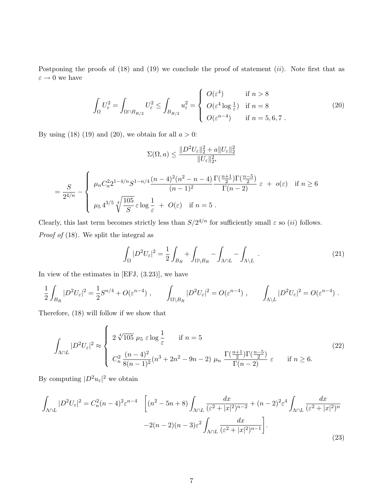Postponing the proofs of  $(18)$  and  $(19)$  we conclude the proof of statement  $(ii)$ . Note first that as  $\varepsilon \to 0$  we have

$$
\int_{\Omega} U_{\varepsilon}^{2} = \int_{\Omega \cap B_{R/2}} U_{\varepsilon}^{2} \le \int_{B_{R/2}} u_{\varepsilon}^{2} = \begin{cases} O(\varepsilon^{4}) & \text{if } n > 8\\ O(\varepsilon^{4} \log \frac{1}{\varepsilon}) & \text{if } n = 8\\ O(\varepsilon^{n-4}) & \text{if } n = 5, 6, 7 \end{cases}
$$
 (20)

By using (18) (19) and (20), we obtain for all  $a > 0$ :

$$
\Sigma(\Omega, a) \le \frac{\|D^2 U_{\varepsilon}\|_2^2 + a \|U_{\varepsilon}\|_2^2}{\|U_{\varepsilon}\|_{2^*}^2}
$$
  
= 
$$
\frac{S}{2^{4/n}} - \begin{cases} \mu_n C_n^2 2^{1-4/n} S^{1-n/4} \frac{(n-4)^2 (n^2 - n - 4)}{(n-1)^2} \frac{\Gamma(\frac{n+1}{2}) \Gamma(\frac{n-5}{2})}{\Gamma(n-2)} \varepsilon + o(\varepsilon) & \text{if } n \ge 6\\ \mu_5 4^{3/5} \sqrt[4]{\frac{105}{S}} \varepsilon \log \frac{1}{\varepsilon} + O(\varepsilon) & \text{if } n = 5 \ .\end{cases}
$$

Clearly, this last term becomes strictly less than  $S/2^{4/n}$  for sufficiently small  $\varepsilon$  so *(ii)* follows. Proof of  $(18)$ . We split the integral as

$$
\int_{\Omega} |D^2 U_{\varepsilon}|^2 = \frac{1}{2} \int_{B_R} + \int_{\Omega \setminus B_R} - \int_{\Lambda \cap L} - \int_{\Lambda \setminus L} \tag{21}
$$

In view of the estimates in [EFJ, (3.23)], we have

$$
\frac{1}{2} \int_{B_R} |D^2 U_{\varepsilon}|^2 = \frac{1}{2} S^{n/4} + O(\varepsilon^{n-4}), \qquad \int_{\Omega \setminus B_R} |D^2 U_{\varepsilon}|^2 = O(\varepsilon^{n-4}), \qquad \int_{\Lambda \setminus L} |D^2 U_{\varepsilon}|^2 = O(\varepsilon^{n-4}).
$$

Therefore, (18) will follow if we show that

 $\overline{a}$ 

$$
\int_{\Lambda \cap L} |D^2 U_{\varepsilon}|^2 \approx \begin{cases} 2 \sqrt[4]{105} \mu_5 \varepsilon \log \frac{1}{\varepsilon} & \text{if } n = 5\\ C_n^2 \frac{(n-4)^2}{8(n-1)^2} (n^3 + 2n^2 - 9n - 2) \mu_n \frac{\Gamma(\frac{n+1}{2}) \Gamma(\frac{n-5}{2})}{\Gamma(n-2)} \varepsilon & \text{if } n \ge 6. \end{cases}
$$
(22)

By computing  $|D^2u_{\varepsilon}|^2$  we obtain

$$
\int_{\Lambda \cap L} |D^2 U_{\varepsilon}|^2 = C_n^2 (n-4)^2 \varepsilon^{n-4} \quad \left[ (n^2 - 5n + 8) \int_{\Lambda \cap L} \frac{dx}{(\varepsilon^2 + |x|^2)^{n-2}} + (n-2)^2 \varepsilon^4 \int_{\Lambda \cap L} \frac{dx}{(\varepsilon^2 + |x|^2)^n} \right. \left. - 2(n-2)(n-3)\varepsilon^2 \int_{\Lambda \cap L} \frac{dx}{(\varepsilon^2 + |x|^2)^{n-1}} \right].
$$
\n(23)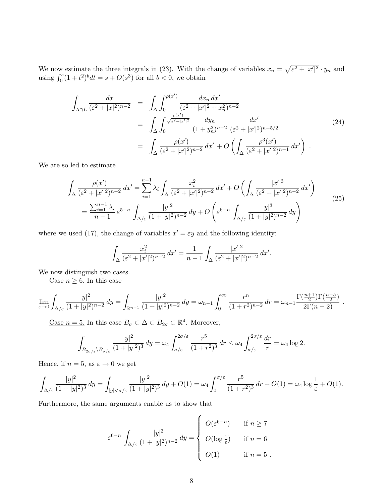We now estimate the three integrals in  $(23)$ . With the change of variables  $x_n =$ p We now estimate the three integrals in (23). With the change of variables  $x_n = \sqrt{\varepsilon^2 + |x'|^2} \cdot y_n$  and using  $\int_0^s (1+t^2)^b dt = s + O(s^3)$  for all  $b < 0$ , we obtain

$$
\int_{\Lambda \cap L} \frac{dx}{(\varepsilon^2 + |x|^2)^{n-2}} = \int_{\Delta} \int_0^{\rho(x')} \frac{dx_n dx'}{(\varepsilon^2 + |x'|^2 + x_n^2)^{n-2}} \n= \int_{\Delta} \int_0^{\frac{\rho(x')}{\sqrt{\varepsilon^2 + |x'|^2}}} \frac{dy_n}{(1 + y_n^2)^{n-2}} \frac{dx'}{(\varepsilon^2 + |x'|^2)^{n-5/2}} \n= \int_{\Delta} \frac{\rho(x')}{(\varepsilon^2 + |x'|^2)^{n-2}} dx' + O\left(\int_{\Delta} \frac{\rho^3(x')}{(\varepsilon^2 + |x'|^2)^{n-1}} dx'\right) .
$$
\n(24)

We are so led to estimate

$$
\int_{\Delta} \frac{\rho(x')}{(\varepsilon^2 + |x'|^2)^{n-2}} dx' = \sum_{i=1}^{n-1} \lambda_i \int_{\Delta} \frac{x_i^2}{(\varepsilon^2 + |x'|^2)^{n-2}} dx' + O\left(\int_{\Delta} \frac{|x'|^3}{(\varepsilon^2 + |x'|^2)^{n-2}} dx'\right)
$$
\n
$$
= \frac{\sum_{i=1}^{n-1} \lambda_i}{n-1} \varepsilon^{5-n} \int_{\Delta/\varepsilon} \frac{|y|^2}{(1+|y|^2)^{n-2}} dy + O\left(\varepsilon^{6-n} \int_{\Delta/\varepsilon} \frac{|y|^3}{(1+|y|^2)^{n-2}} dy\right)
$$
\n(25)

where we used (17), the change of variables  $x' = \varepsilon y$  and the following identity:

$$
\int_{\Delta} \frac{x_i^2}{(\varepsilon^2 + |x'|^2)^{n-2}} dx' = \frac{1}{n-1} \int_{\Delta} \frac{|x'|^2}{(\varepsilon^2 + |x'|^2)^{n-2}} dx'.
$$

We now distinguish two cases.

Case  $n \geq 6$ . In this case

$$
\lim_{\varepsilon \to 0} \int_{\Delta/\varepsilon} \frac{|y|^2}{(1+|y|^2)^{n-2}} \, dy = \int_{\mathbb{R}^{n-1}} \frac{|y|^2}{(1+|y|^2)^{n-2}} \, dy = \omega_{n-1} \int_0^\infty \frac{r^n}{(1+r^2)^{n-2}} \, dr = \omega_{n-1} \frac{\Gamma(\frac{n+1}{2}) \Gamma(\frac{n-5}{2})}{2\Gamma(n-2)} \, .
$$

Case  $n = 5$ . In this case  $B_{\sigma} \subset \Delta \subset B_{2\sigma} \subset \mathbb{R}^4$ . Moreover,

$$
\int_{B_{2\sigma/\varepsilon}\setminus B_{\sigma/\varepsilon}}\frac{|y|^2}{(1+|y|^2)^3}\,dy = \omega_4 \int_{\sigma/\varepsilon}^{2\sigma/\varepsilon}\frac{r^5}{(1+r^2)^3}\,dr \leq \omega_4 \int_{\sigma/\varepsilon}^{2\sigma/\varepsilon}\frac{dr}{r} = \omega_4 \log 2.
$$

Hence, if  $n = 5$ , as  $\varepsilon \to 0$  we get

$$
\int_{\Delta/\varepsilon} \frac{|y|^2}{(1+|y|^2)^3}\,dy = \int_{|y|<\sigma/\varepsilon} \frac{|y|^2}{(1+|y|^2)^3}\,dy + O(1) = \omega_4 \int_0^{\sigma/\varepsilon} \frac{r^5}{(1+r^2)^3}\,dr + O(1) = \omega_4 \log \frac{1}{\varepsilon} + O(1).
$$

Furthermore, the same arguments enable us to show that

$$
\varepsilon^{6-n} \int_{\Delta/\varepsilon} \frac{|y|^3}{(1+|y|^2)^{n-2}} dy = \begin{cases} O(\varepsilon^{6-n}) & \text{if } n \ge 7 \\ O(\log \frac{1}{\varepsilon}) & \text{if } n = 6 \\ O(1) & \text{if } n = 5 \end{cases}
$$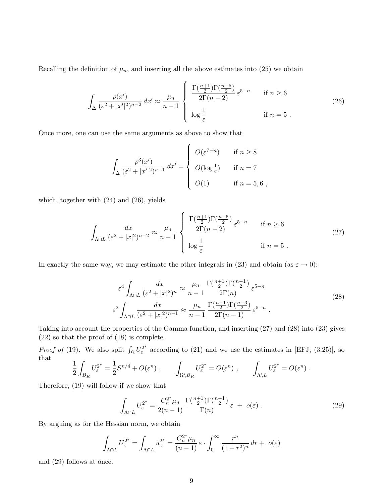Recalling the definition of  $\mu_n$ , and inserting all the above estimates into (25) we obtain

$$
\int_{\Delta} \frac{\rho(x')}{(\varepsilon^2 + |x'|^2)^{n-2}} dx' \approx \frac{\mu_n}{n-1} \begin{cases} \frac{\Gamma(\frac{n+1}{2})\Gamma(\frac{n-5}{2})}{2\Gamma(n-2)} \varepsilon^{5-n} & \text{if } n \ge 6\\ \log\frac{1}{\varepsilon} & \text{if } n = 5 \end{cases}
$$
 (26)

Once more, one can use the same arguments as above to show that

$$
\int_{\Delta} \frac{\rho^{3}(x')}{(\varepsilon^{2} + |x'|^{2})^{n-1}} dx' = \begin{cases} O(\varepsilon^{7-n}) & \text{if } n \ge 8 \\ O(\log \frac{1}{\varepsilon}) & \text{if } n = 7 \\ O(1) & \text{if } n = 5, 6 \end{cases}
$$

which, together with (24) and (26), yields

$$
\int_{\Lambda \cap L} \frac{dx}{(\varepsilon^2 + |x|^2)^{n-2}} \approx \frac{\mu_n}{n-1} \begin{cases} \frac{\Gamma(\frac{n+1}{2})\Gamma(\frac{n-5}{2})}{2\Gamma(n-2)} \varepsilon^{5-n} & \text{if } n \ge 6\\ \log\frac{1}{\varepsilon} & \text{if } n = 5 \end{cases}
$$
 (27)

In exactly the same way, we may estimate the other integrals in (23) and obtain (as  $\varepsilon \to 0$ ):

$$
\varepsilon^4 \int_{\Lambda \cap L} \frac{dx}{(\varepsilon^2 + |x|^2)^n} \approx \frac{\mu_n}{n-1} \frac{\Gamma(\frac{n+1}{2}) \Gamma(\frac{n-1}{2})}{2\Gamma(n)} \varepsilon^{5-n}
$$
\n
$$
\varepsilon^2 \int_{\Lambda \cap L} \frac{dx}{(\varepsilon^2 + |x|^2)^{n-1}} \approx \frac{\mu_n}{n-1} \frac{\Gamma(\frac{n+1}{2}) \Gamma(\frac{n-3}{2})}{2\Gamma(n-1)} \varepsilon^{5-n} . \tag{28}
$$

Taking into account the properties of the Gamma function, and inserting (27) and (28) into (23) gives (22) so that the proof of (18) is complete.

*Proof of* (19). We also split  $\int_{\Omega} U_{\varepsilon}^{2^*}$  according to (21) and we use the estimates in [EFJ, (3.25)], so that

$$
\frac{1}{2} \int_{B_R} U_{\varepsilon}^{2^*} = \frac{1}{2} S^{n/4} + O(\varepsilon^n) , \qquad \int_{\Omega \setminus B_R} U_{\varepsilon}^{2^*} = O(\varepsilon^n) , \qquad \int_{\Lambda \setminus L} U_{\varepsilon}^{2^*} = O(\varepsilon^n) .
$$

Therefore, (19) will follow if we show that

$$
\int_{\Lambda \cap L} U_{\varepsilon}^{2^*} = \frac{C_n^{2^*} \mu_n}{2(n-1)} \frac{\Gamma(\frac{n+1}{2}) \Gamma(\frac{n-1}{2})}{\Gamma(n)} \varepsilon + o(\varepsilon) . \tag{29}
$$

By arguing as for the Hessian norm, we obtain

$$
\int_{\Lambda \cap L} U_{\varepsilon}^{2^*} = \int_{\Lambda \cap L} u_{\varepsilon}^{2^*} = \frac{C_n^{2^*} \mu_n}{(n-1)} \varepsilon \cdot \int_0^\infty \frac{r^n}{(1+r^2)^n} dr + o(\varepsilon)
$$

and (29) follows at once.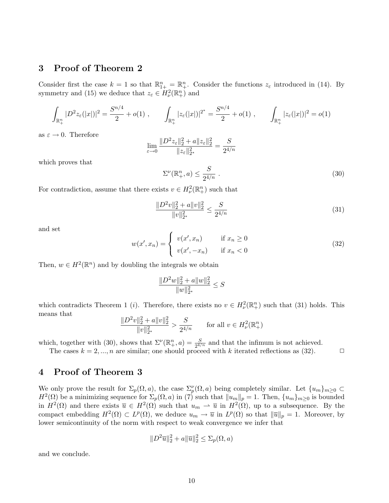## 3 Proof of Theorem 2

Consider first the case  $k = 1$  so that  $\mathbb{R}_{1+}^n = \mathbb{R}_+^n$ . Consider the functions  $z_{\varepsilon}$  introduced in (14). By symmetry and (15) we deduce that  $z_{\varepsilon} \in H_{\nu}^2(\mathbb{R}^n_+)$  and

$$
\int_{\mathbb{R}^n_+} |D^2 z_\varepsilon(|x|)|^2 = \frac{S^{n/4}}{2} + o(1) , \qquad \int_{\mathbb{R}^n_+} |z_\varepsilon(|x|)|^{2^*} = \frac{S^{n/4}}{2} + o(1) , \qquad \int_{\mathbb{R}^n_+} |z_\varepsilon(|x|)|^2 = o(1)
$$

as  $\varepsilon \to 0$ . Therefore

$$
\lim_{\varepsilon \to 0} \frac{\|D^2 z_{\varepsilon}\|_2^2 + a \|z_{\varepsilon}\|_2^2}{\|z_{\varepsilon}\|_{2^*}^2} = \frac{S}{2^{4/n}}
$$

which proves that

$$
\Sigma^{\nu}(\mathbb{R}^n_+,a) \le \frac{S}{2^{4/n}} \tag{30}
$$

For contradiction, assume that there exists  $v \in H^2_{\nu}(\mathbb{R}^n_+)$  such that

$$
\frac{\|D^2v\|_2^2 + a\|v\|_2^2}{\|v\|_{2^*}^2} \le \frac{S}{2^{4/n}}\tag{31}
$$

and set

$$
w(x', x_n) = \begin{cases} v(x', x_n) & \text{if } x_n \ge 0\\ v(x', -x_n) & \text{if } x_n < 0 \end{cases}
$$
 (32)

Then,  $w \in H^2(\mathbb{R}^n)$  and by doubling the integrals we obtain

$$
\frac{\|D^2 w\|_2^2 + a \|w\|_2^2}{\|w\|_{2^*}^2} \leq S
$$

which contradicts Theorem 1 (*i*). Therefore, there exists no  $v \in H^2_{\nu}(\mathbb{R}^n_+)$  such that (31) holds. This means that

$$
\frac{\|D^2v\|_2^2 + a\|v\|_2^2}{\|v\|_{2^*}^2} > \frac{S}{2^{4/n}} \quad \text{for all } v \in H^2_{\nu}(\mathbb{R}^n_+)
$$

which, together with (30), shows that  $\Sigma^{\nu}(\mathbb{R}^n_+, a) = \frac{S}{2^{4/n}}$  and that the infimum is not achieved.

The cases  $k = 2, ..., n$  are similar; one should proceed with k iterated reflections as (32).

# 4 Proof of Theorem 3

We only prove the result for  $\Sigma_p(\Omega, a)$ , the case  $\Sigma_p(\Omega, a)$  being completely similar. Let  $\{u_m\}_{m\geq 0}$  $H^2(\Omega)$  be a minimizing sequence for  $\Sigma_p(\Omega, a)$  in (7) such that  $||u_m||_p = 1$ . Then,  $\{u_m\}_{m \geq 0}$  is bounded in  $H^2(\Omega)$  and there exists  $\overline{u} \in H^2(\Omega)$  such that  $u_m \rightharpoonup \overline{u}$  in  $H^2(\Omega)$ , up to a subsequence. By the compact embedding  $H^2(\Omega) \subset L^p(\Omega)$ , we deduce  $u_m \to \overline{u}$  in  $L^p(\Omega)$  so that  $\|\overline{u}\|_p = 1$ . Moreover, by lower semicontinuity of the norm with respect to weak convergence we infer that

$$
||D^2\overline{u}||_2^2 + a||\overline{u}||_2^2 \le \Sigma_p(\Omega, a)
$$

and we conclude.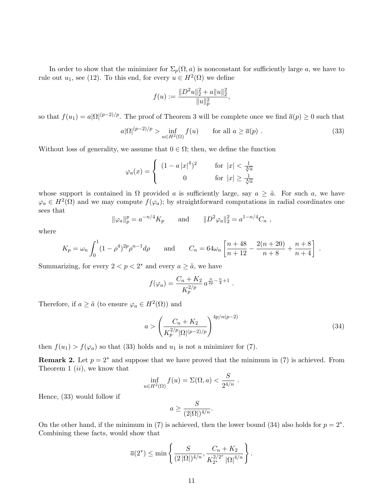In order to show that the minimizer for  $\Sigma_p(\Omega, a)$  is nonconstant for sufficiently large a, we have to rule out  $u_1$ , see (12). To this end, for every  $u \in H^2(\Omega)$  we define

$$
f(u) := \frac{\|D^2u\|_2^2 + a\|u\|_2^2}{\|u\|_p^2},
$$

so that  $f(u_1) = a|\Omega|^{(p-2)/p}$ . The proof of Theorem 3 will be complete once we find  $\overline{a}(p) \ge 0$  such that

$$
a|\Omega|^{(p-2)/p} > \inf_{u \in H^2(\Omega)} f(u) \qquad \text{for all } a \ge \overline{a}(p) . \tag{33}
$$

Without loss of generality, we assume that  $0 \in \Omega$ ; then, we define the function

$$
\varphi_a(x) = \begin{cases} (1 - a \left| x \right|^4)^2 & \text{for } \left| x \right| < \frac{1}{\sqrt[4]{a}} \\ 0 & \text{for } \left| x \right| \ge \frac{1}{\sqrt[4]{a}} \end{cases}
$$

whose support is contained in  $\Omega$  provided a is sufficiently large, say  $a \geq \tilde{a}$ . For such a, we have  $\varphi_a \in H^2(\Omega)$  and we may compute  $f(\varphi_a)$ ; by straightforward computations in radial coordinates one sees that

$$
\|\varphi_a\|_p^p = a^{-n/4} K_p
$$
 and  $\|D^2 \varphi_a\|_2^2 = a^{1-n/4} C_n$ ,

where

$$
K_p = \omega_n \int_0^1 (1 - \rho^4)^{2p} \rho^{n-1} d\rho
$$
 and  $C_n = 64\omega_n \left[ \frac{n+48}{n+12} - \frac{2(n+20)}{n+8} + \frac{n+8}{n+4} \right]$ .

Summarizing, for every  $2 < p < 2^*$  and every  $a \geq \tilde{a}$ , we have

$$
f(\varphi_a) = \frac{C_n + K_2}{K_p^{2/p}} a^{\frac{n}{2p} - \frac{n}{4} + 1}.
$$

Therefore, if  $a \geq \tilde{a}$  (to ensure  $\varphi_a \in H^2(\Omega)$ ) and

$$
a > \left(\frac{C_n + K_2}{K_p^{2/p} |\Omega|^{(p-2)/p}}\right)^{4p/n(p-2)}
$$
\n(34)

then  $f(u_1) > f(\varphi_a)$  so that (33) holds and  $u_1$  is not a minimizer for (7).

**Remark 2.** Let  $p = 2^*$  and suppose that we have proved that the minimum in (7) is achieved. From Theorem 1  $(ii)$ , we know that

$$
\inf_{u \in H^2(\Omega)} f(u) = \Sigma(\Omega, a) < \frac{S}{2^{4/n}} \; .
$$

Hence, (33) would follow if

$$
a \ge \frac{S}{(2|\Omega|)^{4/n}}.
$$

On the other hand, if the minimum in (7) is achieved, then the lower bound (34) also holds for  $p = 2^*$ . Combining these facts, would show that

$$
\overline{a}(2^*) \le \min \left\{ \frac{S}{(2 |\Omega|)^{4/n}}, \frac{C_n + K_2}{K_{2^*}^{2/2^*} |\Omega|^{4/n}} \right\}.
$$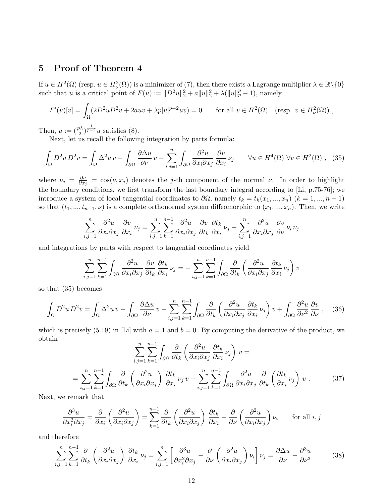## 5 Proof of Theorem 4

If  $u \in H^2(\Omega)$  (resp.  $u \in H^2_{\nu}(\Omega)$ ) is a minimizer of (7), then there exists a Lagrange multiplier  $\lambda \in \mathbb{R} \setminus \{0\}$ such that u is a critical point of  $F(u) := ||D^2u||_2^2 + a||u||_2^2 + \lambda(||u||_p^p - 1)$ , namely

$$
F'(u)[v] = \int_{\Omega} (2D^2 u D^2 v + 2auv + \lambda p |u|^{p-2} uv) = 0 \quad \text{for all } v \in H^2(\Omega) \quad (\text{resp. } v \in H^2_{\nu}(\Omega))
$$

Then,  $\overline{u} := (\frac{p\lambda}{2})^{\frac{1}{p-2}}u$  satisfies (8).

Next, let us recall the following integration by parts formula:

$$
\int_{\Omega} D^2 u \, D^2 v = \int_{\Omega} \Delta^2 u \, v - \int_{\partial \Omega} \frac{\partial \Delta u}{\partial \nu} \, v + \sum_{i,j=1}^n \int_{\partial \Omega} \frac{\partial^2 u}{\partial x_i \partial x_j} \, \frac{\partial v}{\partial x_i} \, \nu_j \qquad \forall u \in H^4(\Omega) \, \forall v \in H^2(\Omega) \;, \tag{35}
$$

where  $\nu_j = \frac{\partial \nu}{\partial x_i}$  $\frac{\partial \nu}{\partial x_j} = \cos(\nu, x_j)$  denotes the j-th component of the normal  $\nu$ . In order to highlight the boundary conditions, we first transform the last boundary integral according to [Li, p.75-76]; we introduce a system of local tangential coordinates to  $\partial\Omega$ , namely  $t_k = t_k(x_1, ..., x_n)$   $(k = 1, ..., n - 1)$ so that  $(t_1, ..., t_{n-1}, \nu)$  is a complete orthonormal system diffeomorphic to  $(x_1, ..., x_n)$ . Then, we write

$$
\sum_{i,j=1}^{n} \frac{\partial^2 u}{\partial x_i \partial x_j} \frac{\partial v}{\partial x_i} \nu_j = \sum_{i,j=1}^{n} \sum_{k=1}^{n-1} \frac{\partial^2 u}{\partial x_i \partial x_j} \frac{\partial v}{\partial x_k} \frac{\partial t_k}{\partial x_i} \nu_j + \sum_{i,j=1}^{n} \frac{\partial^2 u}{\partial x_i \partial x_j} \frac{\partial v}{\partial \nu} \nu_i \nu_j
$$

and integrations by parts with respect to tangential coordinates yield

$$
\sum_{i,j=1}^n \sum_{k=1}^{n-1} \int_{\partial \Omega} \frac{\partial^2 u}{\partial x_i \partial x_j} \frac{\partial v}{\partial t_k} \frac{\partial t_k}{\partial x_i} \nu_j = -\sum_{i,j=1}^n \sum_{k=1}^{n-1} \int_{\partial \Omega} \frac{\partial}{\partial t_k} \left( \frac{\partial^2 u}{\partial x_i \partial x_j} \frac{\partial t_k}{\partial x_i} \nu_j \right) v
$$

so that (35) becomes

 $\int$ 

$$
\int_{\Omega} D^2 u \, D^2 v = \int_{\Omega} \Delta^2 u \, v - \int_{\partial \Omega} \frac{\partial \Delta u}{\partial \nu} \, v - \sum_{i,j=1}^n \sum_{k=1}^{n-1} \int_{\partial \Omega} \frac{\partial}{\partial t_k} \left( \frac{\partial^2 u}{\partial x_i \partial x_j} \, \frac{\partial t_k}{\partial x_i} \, \nu_j \right) v + \int_{\partial \Omega} \frac{\partial^2 u}{\partial \nu^2} \, \frac{\partial v}{\partial \nu}, \quad (36)
$$

which is precisely (5.19) in [Li] with  $a = 1$  and  $b = 0$ . By computing the derivative of the product, we obtain  $\overline{a}$  $\mathbf{r}$ 

$$
\sum_{i,j=1}^{n} \sum_{k=1}^{n-1} \int_{\partial \Omega} \frac{\partial}{\partial t_k} \left( \frac{\partial^2 u}{\partial x_i \partial x_j} \frac{\partial t_k}{\partial x_i} \nu_j \right) v =
$$
  
= 
$$
\sum_{i,j=1}^{n} \sum_{k=1}^{n-1} \int_{\partial \Omega} \frac{\partial}{\partial t_k} \left( \frac{\partial^2 u}{\partial x_i \partial x_j} \right) \frac{\partial t_k}{\partial x_i} \nu_j v + \sum_{i,j=1}^{n} \sum_{k=1}^{n-1} \int_{\partial \Omega} \frac{\partial^2 u}{\partial x_i \partial x_j} \frac{\partial}{\partial t_k} \left( \frac{\partial t_k}{\partial x_i} \nu_j \right) v .
$$
 (37)

Next, we remark that

$$
\frac{\partial^3 u}{\partial x_i^2 \partial x_j} = \frac{\partial}{\partial x_i} \left( \frac{\partial^2 u}{\partial x_i \partial x_j} \right) = \sum_{k=1}^{n-1} \frac{\partial}{\partial t_k} \left( \frac{\partial^2 u}{\partial x_i \partial x_j} \right) \frac{\partial t_k}{\partial x_i} + \frac{\partial}{\partial \nu} \left( \frac{\partial^2 u}{\partial x_i \partial x_j} \right) \nu_i \quad \text{for all } i, j
$$

and therefore

$$
\sum_{i,j=1}^{n} \sum_{k=1}^{n-1} \frac{\partial}{\partial t_k} \left( \frac{\partial^2 u}{\partial x_i \partial x_j} \right) \frac{\partial t_k}{\partial x_i} \nu_j = \sum_{i,j=1}^{n} \left[ \frac{\partial^3 u}{\partial x_i^2 \partial x_j} - \frac{\partial}{\partial \nu} \left( \frac{\partial^2 u}{\partial x_i \partial x_j} \right) \nu_i \right] \nu_j = \frac{\partial \Delta u}{\partial \nu} - \frac{\partial^3 u}{\partial \nu^3} . \tag{38}
$$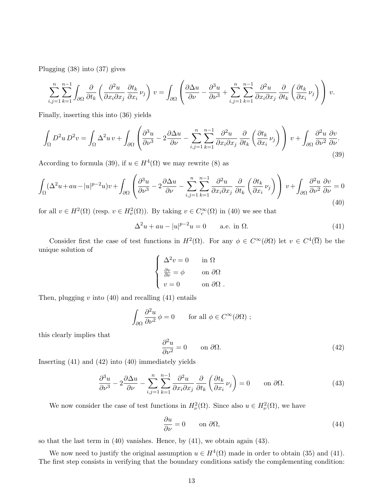Plugging (38) into (37) gives

$$
\sum_{i,j=1}^n \sum_{k=1}^{n-1} \int_{\partial\Omega} \frac{\partial}{\partial t_k} \left( \frac{\partial^2 u}{\partial x_i \partial x_j} \frac{\partial t_k}{\partial x_i} \nu_j \right) v = \int_{\partial\Omega} \left( \frac{\partial \Delta u}{\partial \nu} - \frac{\partial^3 u}{\partial \nu^3} + \sum_{i,j=1}^n \sum_{k=1}^{n-1} \frac{\partial^2 u}{\partial x_i \partial x_j} \frac{\partial}{\partial t_k} \left( \frac{\partial t_k}{\partial x_i} \nu_j \right) \right) v.
$$

Finally, inserting this into (36) yields

$$
\int_{\Omega} D^2 u \, D^2 v = \int_{\Omega} \Delta^2 u \, v + \int_{\partial \Omega} \left( \frac{\partial^3 u}{\partial \nu^3} - 2 \frac{\partial \Delta u}{\partial \nu} - \sum_{i,j=1}^n \sum_{k=1}^{n-1} \frac{\partial^2 u}{\partial x_i \partial x_j} \frac{\partial}{\partial t_k} \left( \frac{\partial t_k}{\partial x_i} \nu_j \right) \right) v + \int_{\partial \Omega} \frac{\partial^2 u}{\partial \nu^2} \frac{\partial v}{\partial \nu}.
$$
\n(39)

According to formula (39), if  $u \in H^4(\Omega)$  we may rewrite (8) as

$$
\int_{\Omega} (\Delta^2 u + au - |u|^{p-2} u) v + \int_{\partial\Omega} \left( \frac{\partial^3 u}{\partial \nu^3} - 2 \frac{\partial \Delta u}{\partial \nu} - \sum_{i,j=1}^n \sum_{k=1}^{n-1} \frac{\partial^2 u}{\partial x_i \partial x_j} \frac{\partial}{\partial t_k} \left( \frac{\partial t_k}{\partial x_i} \nu_j \right) \right) v + \int_{\partial\Omega} \frac{\partial^2 u}{\partial \nu^2} \frac{\partial v}{\partial \nu} = 0
$$
\n(40)

for all  $v \in H^2(\Omega)$  (resp.  $v \in H^2_{\nu}(\Omega)$ ). By taking  $v \in C_c^{\infty}(\Omega)$  in (40) we see that

$$
\Delta^2 u + au - |u|^{p-2}u = 0 \qquad \text{a.e. in } \Omega. \tag{41}
$$

Consider first the case of test functions in  $H^2(\Omega)$ . For any  $\phi \in C^{\infty}(\partial\Omega)$  let  $v \in C^4(\overline{\Omega})$  be the unique solution of  $\overline{a}$ 

$$
\begin{cases}\n\Delta^2 v = 0 & \text{in } \Omega \\
\frac{\partial v}{\partial \nu} = \phi & \text{on } \partial \Omega \\
v = 0 & \text{on } \partial \Omega\n\end{cases}
$$

Then, plugging  $v$  into (40) and recalling (41) entails

$$
\int_{\partial\Omega} \frac{\partial^2 u}{\partial \nu^2} \phi = 0 \quad \text{for all } \phi \in C^{\infty}(\partial\Omega) ;
$$

this clearly implies that

$$
\frac{\partial^2 u}{\partial \nu^2} = 0 \qquad \text{on } \partial \Omega. \tag{42}
$$

Inserting (41) and (42) into (40) immediately yields

$$
\frac{\partial^3 u}{\partial \nu^3} - 2 \frac{\partial \Delta u}{\partial \nu} - \sum_{i,j=1}^n \sum_{k=1}^{n-1} \frac{\partial^2 u}{\partial x_i \partial x_j} \frac{\partial}{\partial t_k} \left( \frac{\partial t_k}{\partial x_i} \nu_j \right) = 0 \qquad \text{on } \partial \Omega. \tag{43}
$$

We now consider the case of test functions in  $H^2_{\nu}(\Omega)$ . Since also  $u \in H^2_{\nu}(\Omega)$ , we have

$$
\frac{\partial u}{\partial \nu} = 0 \qquad \text{on } \partial \Omega,
$$
\n(44)

so that the last term in (40) vanishes. Hence, by (41), we obtain again (43).

We now need to justify the original assumption  $u \in H^4(\Omega)$  made in order to obtain (35) and (41). The first step consists in verifying that the boundary conditions satisfy the complementing condition: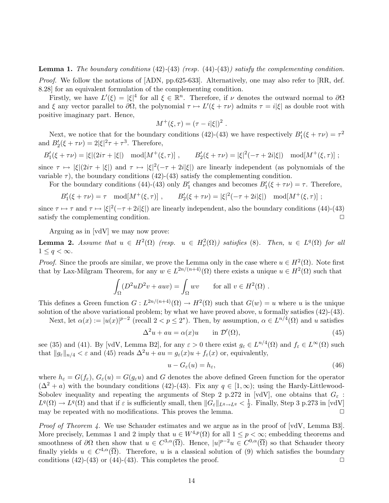**Lemma 1.** The boundary conditions  $(42)$ - $(43)$  (resp.  $(44)$ - $(43)$ ) satisfy the complementing condition. Proof. We follow the notations of [ADN, pp.625-633]. Alternatively, one may also refer to [RR, def. 8.28] for an equivalent formulation of the complementing condition.

Firstly, we have  $L'(\xi) = |\xi|^4$  for all  $\xi \in \mathbb{R}^n$ . Therefore, if  $\nu$  denotes the outward normal to  $\partial\Omega$ and  $\xi$  any vector parallel to  $\partial\Omega$ , the polynomial  $\tau \mapsto L'(\xi + \tau \nu)$  admits  $\tau = i|\xi|$  as double root with positive imaginary part. Hence,

$$
M^+(\xi, \tau) = (\tau - i|\xi|)^2.
$$

Next, we notice that for the boundary conditions (42)-(43) we have respectively  $B_1'(\xi + \tau \nu) = \tau^2$ and  $B_2'(\xi + \tau \nu) = 2|\xi|^2 \tau + \tau^3$ . Therefore,

 $B'_1(\xi + \tau \nu) = |\xi|(2i\tau + |\xi|) \mod M^+(\xi, \tau) ]$ ,  $B'_2(\xi + \tau \nu) = |\xi|^2(-\tau + 2i|\xi|) \mod M^+(\xi, \tau) ]$ ; since  $\tau \mapsto |\xi|(2i\tau + |\xi|)$  and  $\tau \mapsto |\xi|^2(-\tau + 2i|\xi|)$  are linearly independent (as polynomials of the

variable  $\tau$ ), the boundary conditions (42)-(43) satisfy the complementing condition.

For the boundary conditions (44)-(43) only  $B'_1$  changes and becomes  $B'_1(\xi + \tau \nu) = \tau$ . Therefore,

$$
B'_{1}(\xi + \tau \nu) = \tau \mod[M^{+}(\xi, \tau)], \qquad B'_{2}(\xi + \tau \nu) = |\xi|^{2}(-\tau + 2i|\xi|) \mod[M^{+}(\xi, \tau)];
$$

since  $\tau \mapsto \tau$  and  $\tau \mapsto |\xi|^2(-\tau + 2i|\xi|)$  are linearly independent, also the boundary conditions (44)-(43) satisfy the complementing condition.  $\Box$ 

Arguing as in [vdV] we may now prove:

**Lemma 2.** Assume that  $u \in H^2(\Omega)$  (resp.  $u \in H^2_{\nu}(\Omega)$ ) satisfies (8). Then,  $u \in L^q(\Omega)$  for all  $1 \leq q < \infty$ .

*Proof.* Since the proofs are similar, we prove the Lemma only in the case where  $u \in H^2(\Omega)$ . Note first that by Lax-Milgram Theorem, for any  $w \in L^{2n/(n+4)}(\Omega)$  there exists a unique  $u \in H^2(\Omega)$  such that

$$
\int_{\Omega} (D^2 u D^2 v + auv) = \int_{\Omega} wv \quad \text{for all } v \in H^2(\Omega) .
$$

This defines a Green function  $G: L^{2n/(n+4)}(\Omega) \to H^2(\Omega)$  such that  $G(w) = u$  where u is the unique solution of the above variational problem; by what we have proved above, u formally satisfies  $(42)$ - $(43)$ .

Next, let  $\alpha(x) := |u(x)|^{p-2}$  (recall  $2 < p \leq 2^*$ ). Then, by assumption,  $\alpha \in L^{n/4}(\Omega)$  and u satisfies

$$
\Delta^2 u + au = \alpha(x)u \qquad \text{in } \mathcal{D}'(\Omega),\tag{45}
$$

see (35) and (41). By [vdV, Lemma B2], for any  $\varepsilon > 0$  there exist  $g_{\varepsilon} \in L^{n/4}(\Omega)$  and  $f_{\varepsilon} \in L^{\infty}(\Omega)$  such that  $||g_{\varepsilon}||_{n/4} < \varepsilon$  and (45) reads  $\Delta^2 u + au = g_{\varepsilon}(x)u + f_{\varepsilon}(x)$  or, equivalently,

$$
u - G_{\varepsilon}(u) = h_{\varepsilon},\tag{46}
$$

where  $h_{\varepsilon} = G(f_{\varepsilon}), G_{\varepsilon}(u) = G(g_{\varepsilon}u)$  and G denotes the above defined Green function for the operator  $(\Delta^2 + a)$  with the boundary conditions (42)-(43). Fix any  $q \in [1, \infty)$ ; using the Hardy-Littlewood-Sobolev inequality and repeating the arguments of Step 2 p.272 in [vdV], one obtains that  $G_{\varepsilon}$ :  $L^q(\Omega) \to L^q(\Omega)$  and that if  $\varepsilon$  is sufficiently small, then  $||G_{\varepsilon}||_{L^q \to L^q} < \frac{1}{2}$  $\frac{1}{2}$ . Finally, Step 3 p.273 in [vdV] may be repeated with no modifications. This proves the lemma.  $\Box$ 

Proof of Theorem 4. We use Schauder estimates and we argue as in the proof of [vdV, Lemma B3]. More precisely, Lemmas 1 and 2 imply that  $u \in W^{4,p}(\Omega)$  for all  $1 \leq p < \infty$ ; embedding theorems and smoothness of  $\partial\Omega$  then show that  $u \in C^{3,\alpha}(\overline{\Omega})$ . Hence,  $|u|^{p-2}u \in C^{0,\alpha}(\overline{\Omega})$  so that Schauder theory finally yields  $u \in C^{4,\alpha}(\overline{\Omega})$ . Therefore, u is a classical solution of (9) which satisfies the boundary conditions  $(42)-(43)$  or  $(44)-(43)$ . This completes the proof.  $\Box$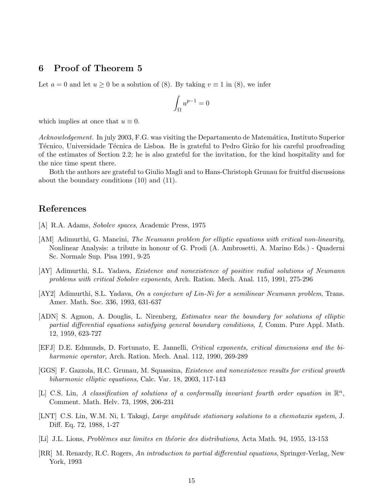#### 6 Proof of Theorem 5

Let  $a = 0$  and let  $u \ge 0$  be a solution of (8). By taking  $v \equiv 1$  in (8), we infer

$$
\int_{\Omega} u^{p-1} = 0
$$

which implies at once that  $u \equiv 0$ .

Acknowledgement. In july 2003, F.G. was visiting the Departamento de Matemática, Instituto Superior Técnico, Universidade Técnica de Lisboa. He is grateful to Pedro Girão for his careful proofreading of the estimates of Section 2.2; he is also grateful for the invitation, for the kind hospitality and for the nice time spent there.

Both the authors are grateful to Giulio Magli and to Hans-Christoph Grunau for fruitful discussions about the boundary conditions (10) and (11).

## References

- [A] R.A. Adams, Sobolev spaces, Academic Press, 1975
- [AM] Adimurthi, G. Mancini, The Neumann problem for elliptic equations with critical non-linearity, Nonlinear Analysis: a tribute in honour of G. Prodi (A. Ambrosetti, A. Marino Eds.) - Quaderni Sc. Normale Sup. Pisa 1991, 9-25
- [AY] Adimurthi, S.L. Yadava, Existence and nonexistence of positive radial solutions of Neumann problems with critical Sobolev exponents, Arch. Ration. Mech. Anal. 115, 1991, 275-296
- [AY2] Adimurthi, S.L. Yadava, On a conjecture of Lin-Ni for a semilinear Neumann problem, Trans. Amer. Math. Soc. 336, 1993, 631-637
- [ADN] S. Agmon, A. Douglis, L. Nirenberg, Estimates near the boundary for solutions of elliptic partial differential equations satisfying general boundary conditions, I, Comm. Pure Appl. Math. 12, 1959, 623-727
- [EFJ] D.E. Edmunds, D. Fortunato, E. Jannelli, Critical exponents, critical dimensions and the biharmonic operator, Arch. Ration. Mech. Anal. 112, 1990, 269-289
- [GGS] F. Gazzola, H.C. Grunau, M. Squassina, Existence and nonexistence results for critical growth biharmonic elliptic equations, Calc. Var. 18, 2003, 117-143
- [L] C.S. Lin, A classification of solutions of a conformally invariant fourth order equation in  $\mathbb{R}^n$ , Comment. Math. Helv. 73, 1998, 206-231
- [LNT] C.S. Lin, W.M. Ni, I. Takagi, Large amplitude stationary solutions to a chemotaxis system, J. Diff. Eq. 72, 1988, 1-27
- [Li] J.L. Lions, Problèmes aux limites en théorie des distributions, Acta Math. 94, 1955, 13-153
- [RR] M. Renardy, R.C. Rogers, An introduction to partial differential equations, Springer-Verlag, New York, 1993